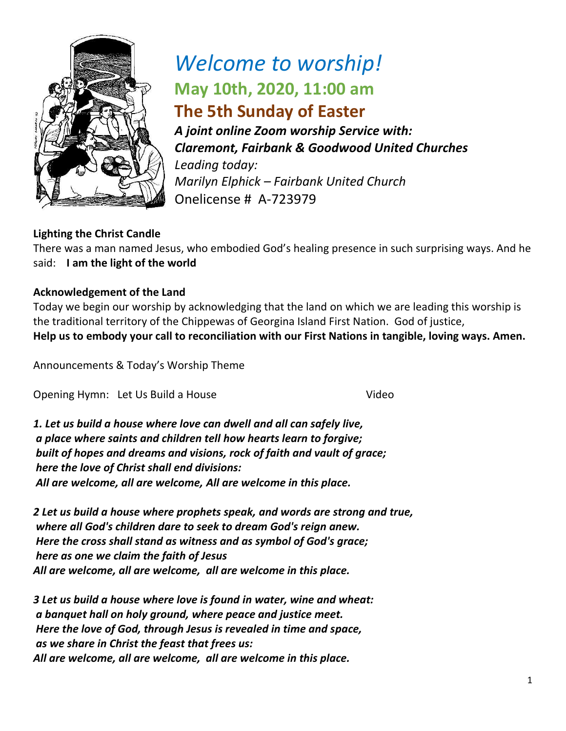

# *Welcome to worship!* **May 10th, 2020, 11:00 am The 5th Sunday of Easter**

*A joint online Zoom worship Service with: Claremont, Fairbank & Goodwood United Churches Leading today: Marilyn Elphick – Fairbank United Church* Onelicense # A-723979

### **Lighting the Christ Candle**

There was a man named Jesus, who embodied God's healing presence in such surprising ways. And he said: **I am the light of the world** 

#### **Acknowledgement of the Land**

Today we begin our worship by acknowledging that the land on which we are leading this worship is the traditional territory of the Chippewas of Georgina Island First Nation. God of justice, **Help us to embody your call to reconciliation with our First Nations in tangible, loving ways. Amen.** 

Announcements & Today's Worship Theme

Opening Hymn: Let Us Build a House Video

*1. Let us build a house where love can dwell and all can safely live, a place where saints and children tell how hearts learn to forgive; built of hopes and dreams and visions, rock of faith and vault of grace; here the love of Christ shall end divisions: All are welcome, all are welcome, All are welcome in this place.*

*2 Let us build a house where prophets speak, and words are strong and true, where all God's children dare to seek to dream God's reign anew. Here the cross shall stand as witness and as symbol of God's grace; here as one we claim the faith of Jesus All are welcome, all are welcome, all are welcome in this place.*

*3 Let us build a house where love is found in water, wine and wheat: a banquet hall on holy ground, where peace and justice meet. Here the love of God, through Jesus is revealed in time and space, as we share in Christ the feast that frees us: All are welcome, all are welcome, all are welcome in this place.*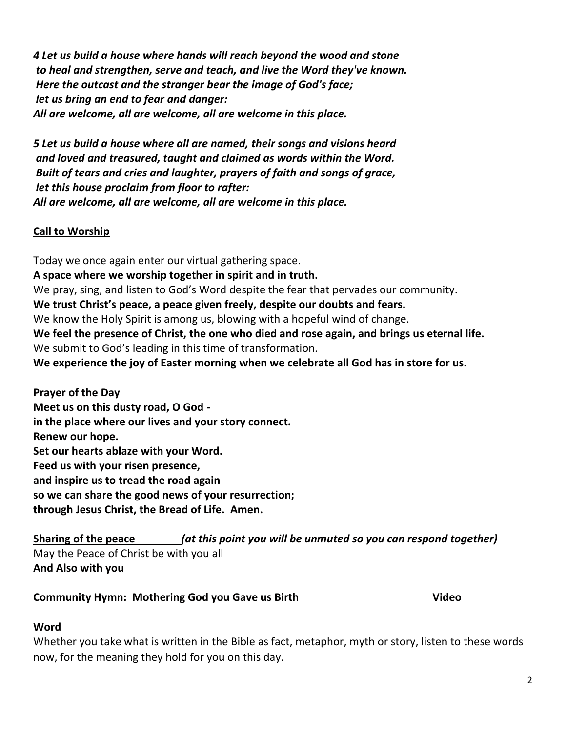*4 Let us build a house where hands will reach beyond the wood and stone to heal and strengthen, serve and teach, and live the Word they've known. Here the outcast and the stranger bear the image of God's face; let us bring an end to fear and danger: All are welcome, all are welcome, all are welcome in this place.*

*5 Let us build a house where all are named, their songs and visions heard and loved and treasured, taught and claimed as words within the Word. Built of tears and cries and laughter, prayers of faith and songs of grace, let this house proclaim from floor to rafter: All are welcome, all are welcome, all are welcome in this place.*

#### **Call to Worship**

Today we once again enter our virtual gathering space. **A space where we worship together in spirit and in truth.** We pray, sing, and listen to God's Word despite the fear that pervades our community. **We trust Christ's peace, a peace given freely, despite our doubts and fears.** We know the Holy Spirit is among us, blowing with a hopeful wind of change. **We feel the presence of Christ, the one who died and rose again, and brings us eternal life.** We submit to God's leading in this time of transformation. **We experience the joy of Easter morning when we celebrate all God has in store for us.**

#### **Prayer of the Day**

**Meet us on this dusty road, O God in the place where our lives and your story connect. Renew our hope. Set our hearts ablaze with your Word. Feed us with your risen presence, and inspire us to tread the road again so we can share the good news of your resurrection; through Jesus Christ, the Bread of Life. Amen.** 

**Sharing of the peace** *(at this point you will be unmuted so you can respond together)* May the Peace of Christ be with you all **And Also with you**

#### **Community Hymn: Mothering God you Gave us Birth Video**

#### **Word**

Whether you take what is written in the Bible as fact, metaphor, myth or story, listen to these words now, for the meaning they hold for you on this day.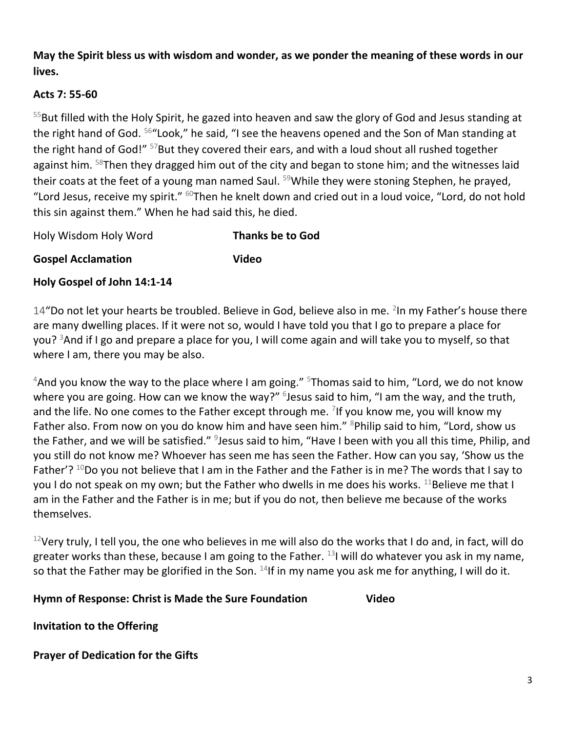**May the Spirit bless us with wisdom and wonder, as we ponder the meaning of these words in our lives.** 

### **Acts 7: 55-60**

<sup>55</sup>But filled with the Holy Spirit, he gazed into heaven and saw the glory of God and Jesus standing at the right hand of God. <sup>56</sup> "Look," he said, "I see the heavens opened and the Son of Man standing at the right hand of God!" <sup>57</sup>But they covered their ears, and with a loud shout all rushed together against him.  $58$ Then they dragged him out of the city and began to stone him; and the witnesses laid their coats at the feet of a young man named Saul. <sup>59</sup>While they were stoning Stephen, he prayed, "Lord Jesus, receive my spirit."  $60$ Then he knelt down and cried out in a loud voice, "Lord, do not hold this sin against them." When he had said this, he died.

Holy Wisdom Holy Word **Thanks be to God**

**Gospel Acclamation Video**

**Holy Gospel of John 14:1-14**

14"Do not let your hearts be troubled. Believe in God, believe also in me. <sup>2</sup>In my Father's house there are many dwelling places. If it were not so, would I have told you that I go to prepare a place for you? <sup>3</sup>And if I go and prepare a place for you, I will come again and will take you to myself, so that where I am, there you may be also.

 $4$ And you know the way to the place where I am going."  $5$ Thomas said to him, "Lord, we do not know where you are going. How can we know the way?" <sup>6</sup>Jesus said to him, "I am the way, and the truth, and the life. No one comes to the Father except through me. <sup>7</sup>If you know me, you will know my Father also. From now on you do know him and have seen him." <sup>8</sup>Philip said to him, "Lord, show us the Father, and we will be satisfied." <sup>9</sup>Jesus said to him, "Have I been with you all this time, Philip, and you still do not know me? Whoever has seen me has seen the Father. How can you say, 'Show us the Father'?  $10D$ o you not believe that I am in the Father and the Father is in me? The words that I say to you I do not speak on my own; but the Father who dwells in me does his works.  $^{11}$ Believe me that I am in the Father and the Father is in me; but if you do not, then believe me because of the works themselves.

 $12$ Very truly, I tell you, the one who believes in me will also do the works that I do and, in fact, will do greater works than these, because I am going to the Father.  $^{13}$ I will do whatever you ask in my name, so that the Father may be glorified in the Son.  $14$ If in my name you ask me for anything, I will do it.

#### **Hymn of Response: Christ is Made the Sure Foundation Video**

**Invitation to the Offering** 

**Prayer of Dedication for the Gifts**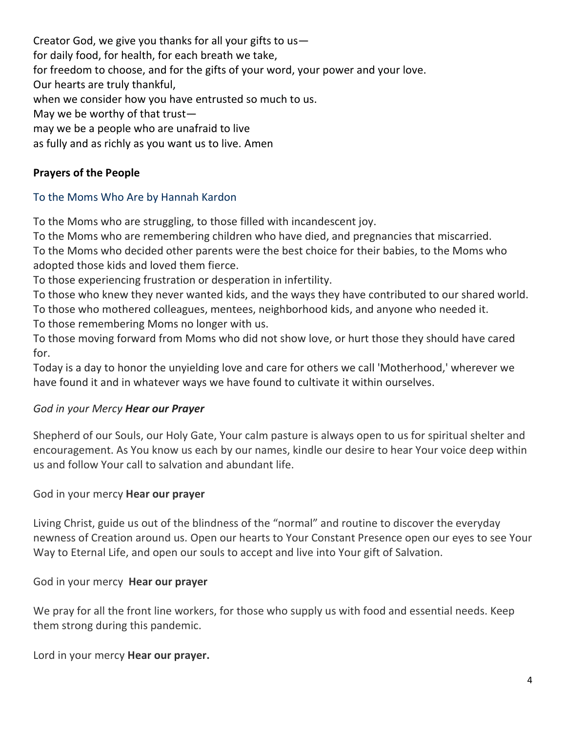Creator God, we give you thanks for all your gifts to us for daily food, for health, for each breath we take, for freedom to choose, and for the gifts of your word, your power and your love. Our hearts are truly thankful, when we consider how you have entrusted so much to us. May we be worthy of that trust may we be a people who are unafraid to live as fully and as richly as you want us to live. Amen

#### **Prayers of the People**

#### To the Moms Who Are by Hannah Kardon

To the Moms who are struggling, to those filled with incandescent joy.

To the Moms who are remembering children who have died, and pregnancies that miscarried. To the Moms who decided other parents were the best choice for their babies, to the Moms who

adopted those kids and loved them fierce.

To those experiencing frustration or desperation in infertility.

To those who knew they never wanted kids, and the ways they have contributed to our shared world. To those who mothered colleagues, mentees, neighborhood kids, and anyone who needed it.

To those remembering Moms no longer with us.

To those moving forward from Moms who did not show love, or hurt those they should have cared for.

Today is a day to honor the unyielding love and care for others we call 'Motherhood,' wherever we have found it and in whatever ways we have found to cultivate it within ourselves.

#### *God in your Mercy Hear our Prayer*

Shepherd of our Souls, our Holy Gate, Your calm pasture is always open to us for spiritual shelter and encouragement. As You know us each by our names, kindle our desire to hear Your voice deep within us and follow Your call to salvation and abundant life.

#### God in your mercy **Hear our prayer**

Living Christ, guide us out of the blindness of the "normal" and routine to discover the everyday newness of Creation around us. Open our hearts to Your Constant Presence open our eyes to see Your Way to Eternal Life, and open our souls to accept and live into Your gift of Salvation.

God in your mercy **Hear our prayer**

We pray for all the front line workers, for those who supply us with food and essential needs. Keep them strong during this pandemic.

Lord in your mercy **Hear our prayer.**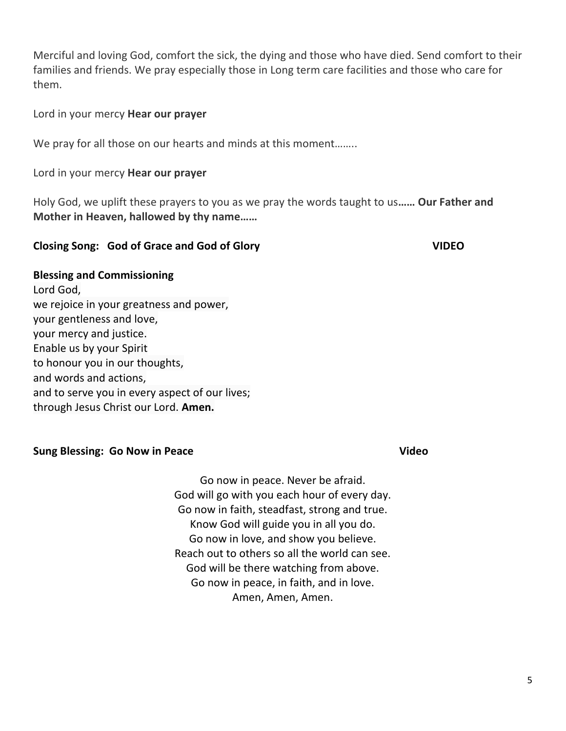Merciful and loving God, comfort the sick, the dying and those who have died. Send comfort to their families and friends. We pray especially those in Long term care facilities and those who care for them.

Lord in your mercy **Hear our prayer**

We pray for all those on our hearts and minds at this moment........

Lord in your mercy **Hear our prayer**

Holy God, we uplift these prayers to you as we pray the words taught to us**…… Our Father and Mother in Heaven, hallowed by thy name……**

#### **Closing Song: God of Grace and God of Glory VIDEO**

#### **Blessing and Commissioning**

Lord God, we rejoice in your greatness and power, your gentleness and love, your mercy and justice. Enable us by your Spirit to honour you in our thoughts, and words and actions, and to serve you in every aspect of our lives; through Jesus Christ our Lord. **Amen.**

#### **Sung Blessing: Go Now in Peace** *Video* 2014 12:30 Video

Go now in peace. Never be afraid. God will go with you each hour of every day. Go now in faith, steadfast, strong and true. Know God will guide you in all you do. Go now in love, and show you believe. Reach out to others so all the world can see. God will be there watching from above. Go now in peace, in faith, and in love. Amen, Amen, Amen.